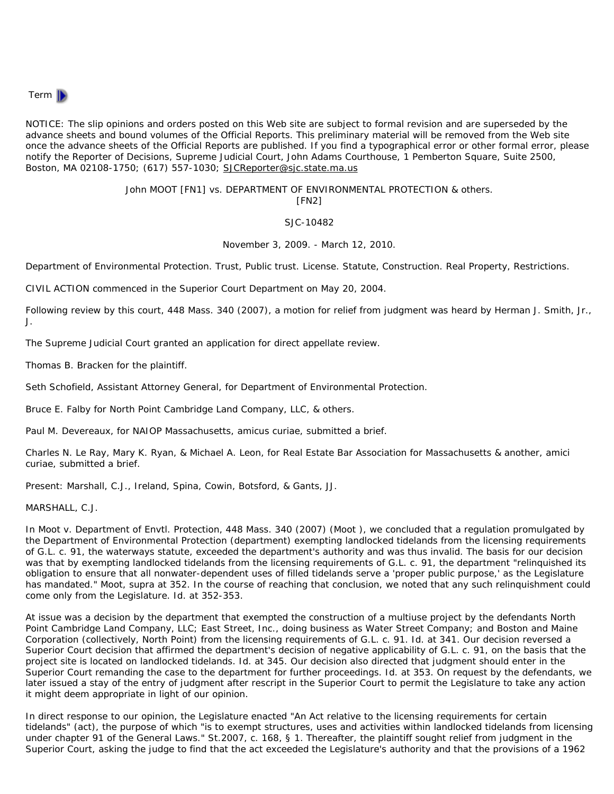

NOTICE: The slip opinions and orders posted on this Web site are subject to formal revision and are superseded by the advance sheets and bound volumes of the Official Reports. This preliminary material will be removed from the Web site once the advance sheets of the Official Reports are published. If you find a typographical error or other formal error, please notify the Reporter of Decisions, Supreme Judicial Court, John Adams Courthouse, 1 Pemberton Square, Suite 2500, Boston, MA 02108-1750; (617) 557-1030; SJCReporter@sjc.state.ma.us

## John MOOT [FN1] *vs.* DEPARTMENT OF ENVIRONMENTAL PROTECTION & others. [FN2]

## SJC-10482

November 3, 2009. - March 12, 2010.

*Department of Environmental Protection. Trust,* Public trust. *License. Statute,* Construction. *Real Property,* Restrictions.

CIVIL ACTION commenced in the Superior Court Department on May 20, 2004.

Following review by this court, 448 Mass. 340 (2007), a motion for relief from judgment was heard by *Herman J. Smith, Jr.,* J.

The Supreme Judicial Court granted an application for direct appellate review.

*Thomas B. Bracken* for the plaintiff.

*Seth Schofield,* Assistant Attorney General, for Department of Environmental Protection.

*Bruce E. Falby* for North Point Cambridge Land Company, LLC, & others.

*Paul M. Devereaux,* for NAIOP Massachusetts, amicus curiae, submitted a brief.

*Charles N. Le Ray, Mary K. Ryan, & Michael A. Leon,* for Real Estate Bar Association for Massachusetts & another, amici curiae, submitted a brief.

Present: Marshall, C.J., Ireland, Spina, Cowin, Botsford, & Gants, JJ.

MARSHALL, C.J.

In *Moot v. Department of Envtl. Protection,* 448 Mass. 340 (2007) (*Moot* ), we concluded that a regulation promulgated by the Department of Environmental Protection (department) exempting landlocked tidelands from the licensing requirements of G.L. c. 91, the waterways statute, exceeded the department's authority and was thus invalid. The basis for our decision was that by exempting landlocked tidelands from the licensing requirements of G.L. c. 91, the department "relinquished its obligation to ensure that all nonwater-dependent uses of filled tidelands serve a 'proper public purpose,' as the Legislature has mandated." *Moot, supra* at 352. In the course of reaching that conclusion, we noted that any such relinquishment could come only from the Legislature. *Id.* at 352-353.

At issue was a decision by the department that exempted the construction of a multiuse project by the defendants North Point Cambridge Land Company, LLC; East Street, Inc., doing business as Water Street Company; and Boston and Maine Corporation (collectively, North Point) from the licensing requirements of G.L. c. 91. *Id.* at 341. Our decision reversed a Superior Court decision that affirmed the department's decision of negative applicability of G.L. c. 91, on the basis that the project site is located on landlocked tidelands. *Id.* at 345. Our decision also directed that judgment should enter in the Superior Court remanding the case to the department for further proceedings. *Id.* at 353. On request by the defendants, we later issued a stay of the entry of judgment after rescript in the Superior Court to permit the Legislature to take any action it might deem appropriate in light of our opinion.

In direct response to our opinion, the Legislature enacted "An Act relative to the licensing requirements for certain tidelands" (act), the purpose of which "is to exempt structures, uses and activities within landlocked tidelands from licensing under chapter 91 of the General Laws." St.2007, c. 168, § 1. Thereafter, the plaintiff sought relief from judgment in the Superior Court, asking the judge to find that the act exceeded the Legislature's authority and that the provisions of a 1962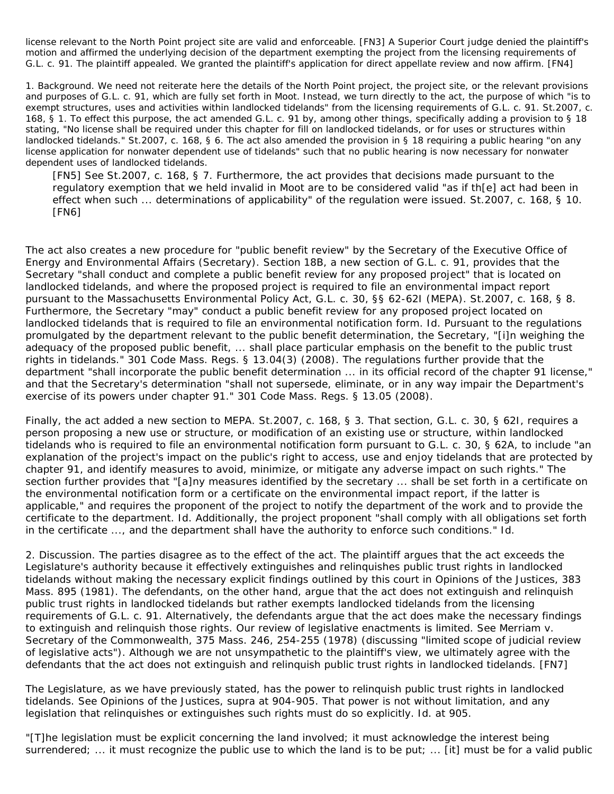license relevant to the North Point project site are valid and enforceable. [FN3] A Superior Court judge denied the plaintiff's motion and affirmed the underlying decision of the department exempting the project from the licensing requirements of G.L. c. 91. The plaintiff appealed. We granted the plaintiff's application for direct appellate review and now affirm. [FN4]

1. *Background.* We need not reiterate here the details of the North Point project, the project site, or the relevant provisions and purposes of G.L. c. 91, which are fully set forth in *Moot.* Instead, we turn directly to the act, the purpose of which "is to exempt structures, uses and activities within landlocked tidelands" from the licensing requirements of G.L. c. 91. St.2007, c. 168, § 1. To effect this purpose, the act amended G.L. c. 91 by, among other things, specifically adding a provision to § 18 stating, "No license shall be required under this chapter for fill on landlocked tidelands, or for uses or structures within landlocked tidelands." St.2007, c. 168, § 6. The act also amended the provision in § 18 requiring a public hearing "on any license application for nonwater dependent use of tidelands" such that no public hearing is now necessary for nonwater dependent uses of landlocked tidelands.

[FN5] See St.2007, c. 168, § 7. Furthermore, the act provides that decisions made pursuant to the regulatory exemption that we held invalid in *Moot* are to be considered valid "as if th[e] act had been in effect when such ... determinations of applicability" of the regulation were issued. St.2007, c. 168, § 10. [FN6]

The act also creates a new procedure for "public benefit review" by the Secretary of the Executive Office of Energy and Environmental Affairs (Secretary). Section 18B, a new section of G.L. c. 91, provides that the Secretary "shall conduct and complete a public benefit review for any proposed project" that is located on landlocked tidelands, and where the proposed project is required to file an environmental impact report pursuant to the Massachusetts Environmental Policy Act, G.L. c. 30, §§ 62-62I (MEPA). St.2007, c. 168, § 8. Furthermore, the Secretary "may" conduct a public benefit review for any proposed project located on landlocked tidelands that is required to file an environmental notification form. *Id.* Pursuant to the regulations promulgated by the department relevant to the public benefit determination, the Secretary, "[i]n weighing the adequacy of the proposed public benefit, ... shall place particular emphasis on the benefit to the public trust rights in tidelands." 301 Code Mass. Regs. § 13.04(3) (2008). The regulations further provide that the department "shall incorporate the public benefit determination ... in its official record of the chapter 91 license," and that the Secretary's determination "shall not supersede, eliminate, or in any way impair the Department's exercise of its powers under chapter 91." 301 Code Mass. Regs. § 13.05 (2008).

Finally, the act added a new section to MEPA. St.2007, c. 168, § 3. That section, G.L. c. 30, § 62I, requires a person proposing a new use or structure, or modification of an existing use or structure, within landlocked tidelands who is required to file an environmental notification form pursuant to G.L. c. 30, § 62A, to include "an explanation of the project's impact on the public's right to access, use and enjoy tidelands that are protected by chapter 91, and identify measures to avoid, minimize, or mitigate any adverse impact on such rights." The section further provides that "[a]ny measures identified by the secretary ... shall be set forth in a certificate on the environmental notification form or a certificate on the environmental impact report, if the latter is applicable," and requires the proponent of the project to notify the department of the work and to provide the certificate to the department. *Id.* Additionally, the project proponent "shall comply with all obligations set forth in the certificate ..., and the department shall have the authority to enforce such conditions." *Id.*

2. *Discussion.* The parties disagree as to the effect of the act. The plaintiff argues that the act exceeds the Legislature's authority because it effectively extinguishes and relinquishes public trust rights in landlocked tidelands without making the necessary explicit findings outlined by this court in *Opinions of the Justices,* 383 Mass. 895 (1981). The defendants, on the other hand, argue that the act does not extinguish and relinquish public trust rights in landlocked tidelands but rather exempts landlocked tidelands from the licensing requirements of G.L. c. 91. Alternatively, the defendants argue that the act does make the necessary findings to extinguish and relinquish those rights. Our review of legislative enactments is limited. See *Merriam v. Secretary of the Commonwealth,* 375 Mass. 246, 254-255 (1978) (discussing "limited scope of judicial review of legislative acts"). Although we are not unsympathetic to the plaintiff's view, we ultimately agree with the defendants that the act does not extinguish and relinquish public trust rights in landlocked tidelands. [FN7]

The Legislature, as we have previously stated, has the power to relinquish public trust rights in landlocked tidelands. See *Opinions of the Justices, supra* at 904-905. That power is not without limitation, and any legislation that relinquishes or extinguishes such rights must do so explicitly. *Id.* at 905.

"[T]he legislation must be explicit concerning the land involved; it must acknowledge the interest being surrendered; ... it must recognize the public use to which the land is to be put; ... [it] must be for a valid public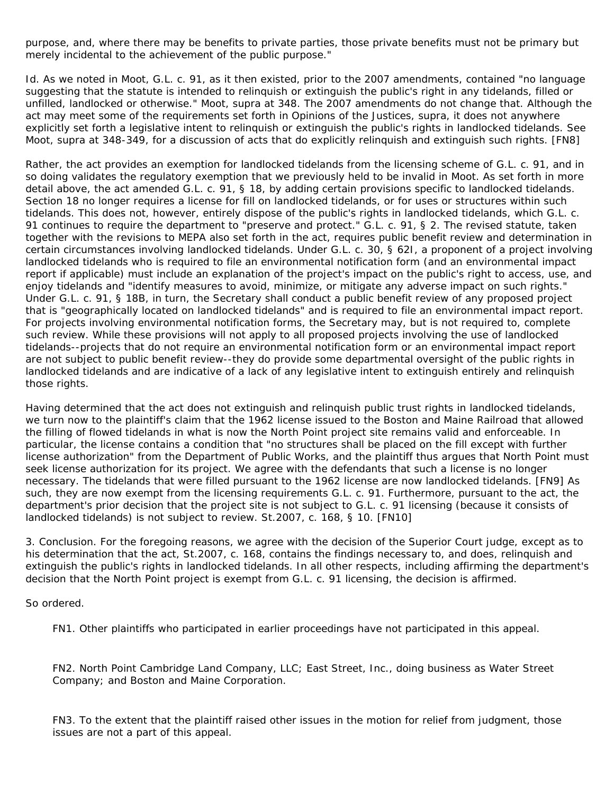purpose, and, where there may be benefits to private parties, those private benefits must not be primary but merely incidental to the achievement of the public purpose."

*Id.* As we noted in *Moot,* G.L. c. 91, as it then existed, prior to the 2007 amendments, contained "no language suggesting that the statute is intended to relinquish or extinguish the public's right in any tidelands, filled or unfilled, landlocked or otherwise." *Moot, supra* at 348. The 2007 amendments do not change that. Although the act may meet some of the requirements set forth in *Opinions of the Justices, supra,* it does not anywhere explicitly set forth a legislative intent to relinquish or extinguish the public's rights in landlocked tidelands. See *Moot, supra* at 348-349, for a discussion of acts that do explicitly relinquish and extinguish such rights. [FN8]

Rather, the act provides an exemption for landlocked tidelands from the licensing scheme of G.L. c. 91, and in so doing validates the regulatory exemption that we previously held to be invalid in *Moot.* As set forth in more detail above, the act amended G.L. c. 91, § 18, by adding certain provisions specific to landlocked tidelands. Section 18 no longer requires a license for fill on landlocked tidelands, or for uses or structures within such tidelands. This does not, however, entirely dispose of the public's rights in landlocked tidelands, which G.L. c. 91 continues to require the department to "preserve and protect." G.L. c. 91, § 2. The revised statute, taken together with the revisions to MEPA also set forth in the act, requires public benefit review and determination in certain circumstances involving landlocked tidelands. Under G.L. c. 30, § 62I, a proponent of a project involving landlocked tidelands who is required to file an environmental notification form (and an environmental impact report if applicable) must include an explanation of the project's impact on the public's right to access, use, and enjoy tidelands and "identify measures to avoid, minimize, or mitigate any adverse impact on such rights." Under G.L. c. 91, § 18B, in turn, the Secretary shall conduct a public benefit review of any proposed project that is "geographically located on landlocked tidelands" and is required to file an environmental impact report. For projects involving environmental notification forms, the Secretary may, but is not required to, complete such review. While these provisions will not apply to all proposed projects involving the use of landlocked tidelands--projects that do not require an environmental notification form or an environmental impact report are not subject to public benefit review--they do provide some departmental oversight of the public rights in landlocked tidelands and are indicative of a lack of any legislative intent to extinguish entirely and relinquish those rights.

Having determined that the act does not extinguish and relinquish public trust rights in landlocked tidelands, we turn now to the plaintiff's claim that the 1962 license issued to the Boston and Maine Railroad that allowed the filling of flowed tidelands in what is now the North Point project site remains valid and enforceable. In particular, the license contains a condition that "no structures shall be placed on the fill except with further license authorization" from the Department of Public Works, and the plaintiff thus argues that North Point must seek license authorization for its project. We agree with the defendants that such a license is no longer necessary. The tidelands that were filled pursuant to the 1962 license are now landlocked tidelands. [FN9] As such, they are now exempt from the licensing requirements G.L. c. 91. Furthermore, pursuant to the act, the department's prior decision that the project site is not subject to G.L. c. 91 licensing (because it consists of landlocked tidelands) is not subject to review. St.2007, c. 168, § 10. [FN10]

3. *Conclusion.* For the foregoing reasons, we agree with the decision of the Superior Court judge, except as to his determination that the act, St.2007, c. 168, contains the findings necessary to, and does, relinquish and extinguish the public's rights in landlocked tidelands. In all other respects, including affirming the department's decision that the North Point project is exempt from G.L. c. 91 licensing, the decision is affirmed.

*So ordered.*

FN1. Other plaintiffs who participated in earlier proceedings have not participated in this appeal.

FN2. North Point Cambridge Land Company, LLC; East Street, Inc., doing business as Water Street Company; and Boston and Maine Corporation.

FN3. To the extent that the plaintiff raised other issues in the motion for relief from judgment, those issues are not a part of this appeal.